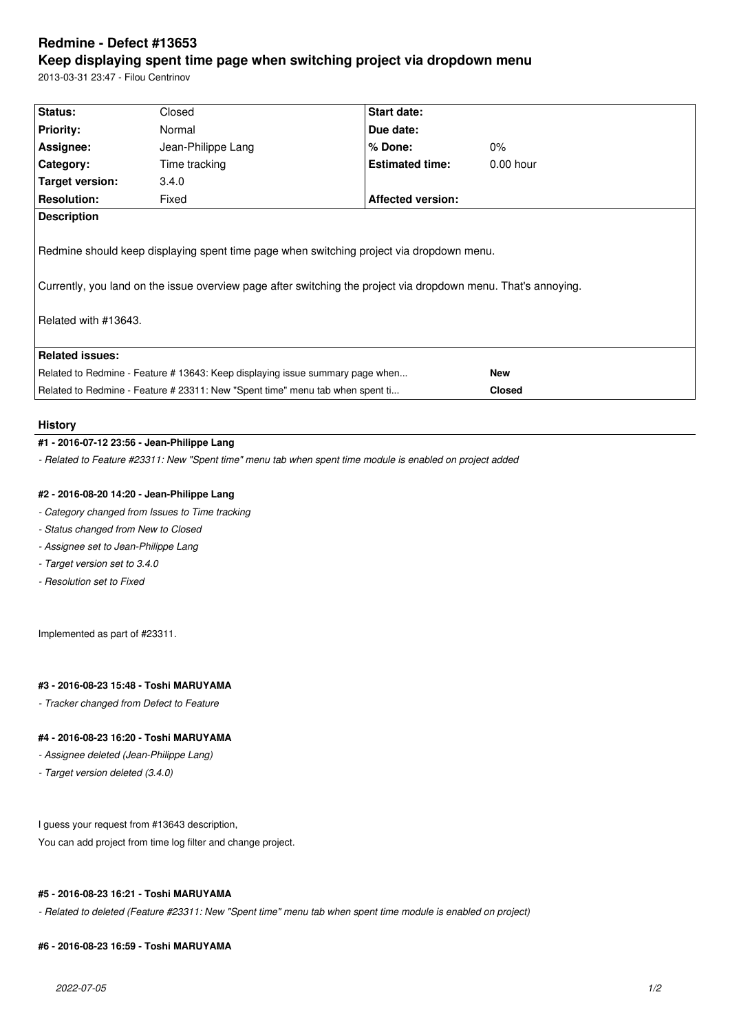# **Redmine - Defect #13653**

# **Keep displaying spent time page when switching project via dropdown menu**

2013-03-31 23:47 - Filou Centrinov

| Status:                                                                                                                                                                                                                            | Closed             | Start date:              |             |
|------------------------------------------------------------------------------------------------------------------------------------------------------------------------------------------------------------------------------------|--------------------|--------------------------|-------------|
| <b>Priority:</b>                                                                                                                                                                                                                   | Normal             | Due date:                |             |
| Assignee:                                                                                                                                                                                                                          | Jean-Philippe Lang | $%$ Done:                | $0\%$       |
| Category:                                                                                                                                                                                                                          | Time tracking      | <b>Estimated time:</b>   | $0.00$ hour |
| Target version:                                                                                                                                                                                                                    | 3.4.0              |                          |             |
| <b>Resolution:</b>                                                                                                                                                                                                                 | Fixed              | <b>Affected version:</b> |             |
| <b>Description</b>                                                                                                                                                                                                                 |                    |                          |             |
| Redmine should keep displaying spent time page when switching project via dropdown menu.<br>Currently, you land on the issue overview page after switching the project via dropdown menu. That's annoying.<br>Related with #13643. |                    |                          |             |
| <b>Related issues:</b>                                                                                                                                                                                                             |                    |                          |             |
| Related to Redmine - Feature # 13643: Keep displaying issue summary page when                                                                                                                                                      |                    | <b>New</b>               |             |
| Related to Redmine - Feature # 23311: New "Spent time" menu tab when spent ti                                                                                                                                                      |                    | <b>Closed</b>            |             |

#### **History**

# **#1 - 2016-07-12 23:56 - Jean-Philippe Lang**

*- Related to Feature #23311: New "Spent time" menu tab when spent time module is enabled on project added*

## **#2 - 2016-08-20 14:20 - Jean-Philippe Lang**

- *Category changed from Issues to Time tracking*
- *Status changed from New to Closed*
- *Assignee set to Jean-Philippe Lang*
- *Target version set to 3.4.0*
- *Resolution set to Fixed*

Implemented as part of #23311.

# **#3 - 2016-08-23 15:48 - Toshi MARUYAMA**

*- Tracker changed from Defect to Feature*

# **#4 - 2016-08-23 16:20 - Toshi MARUYAMA**

- *Assignee deleted (Jean-Philippe Lang)*
- *Target version deleted (3.4.0)*

I guess your request from #13643 description,

You can add project from time log filter and change project.

## **#5 - 2016-08-23 16:21 - Toshi MARUYAMA**

*- Related to deleted (Feature #23311: New "Spent time" menu tab when spent time module is enabled on project)*

## **#6 - 2016-08-23 16:59 - Toshi MARUYAMA**